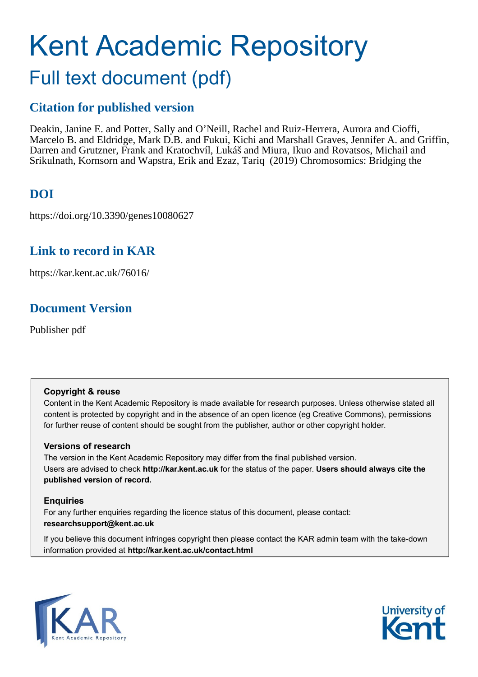# Kent Academic Repository Full text document (pdf)

### **Citation for published version**

Deakin, Janine E. and Potter, Sally and O'Neill, Rachel and Ruiz-Herrera, Aurora and Cioffi, Marcelo B. and Eldridge, Mark D.B. and Fukui, Kichi and Marshall Graves, Jennifer A. and Griffin, Darren and Grutzner, Frank and Kratochvíl, Lukáš and Miura, Ikuo and Rovatsos, Michail and Srikulnath, Kornsorn and Wapstra, Erik and Ezaz, Tariq (2019) Chromosomics: Bridging the

### **DOI**

https://doi.org/10.3390/genes10080627

### **Link to record in KAR**

https://kar.kent.ac.uk/76016/

### **Document Version**

Publisher pdf

### **Copyright & reuse**

Content in the Kent Academic Repository is made available for research purposes. Unless otherwise stated all content is protected by copyright and in the absence of an open licence (eg Creative Commons), permissions for further reuse of content should be sought from the publisher, author or other copyright holder.

### **Versions of research**

The version in the Kent Academic Repository may differ from the final published version. Users are advised to check **http://kar.kent.ac.uk** for the status of the paper. **Users should always cite the published version of record.**

### **Enquiries**

For any further enquiries regarding the licence status of this document, please contact: **researchsupport@kent.ac.uk**

If you believe this document infringes copyright then please contact the KAR admin team with the take-down information provided at **http://kar.kent.ac.uk/contact.html**



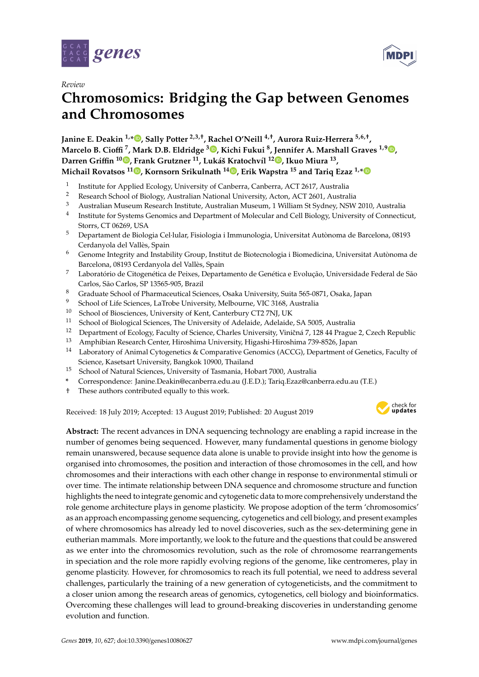



## **Chromosomics: Bridging the Gap between Genomes and Chromosomes**

**Janine E. Deakin 1,\* [,](https://orcid.org/0000-0002-1259-3531) Sally Potter 2,3,**† **, Rachel O'Neill 4,**† **, Aurora Ruiz-Herrera 5,6,**† **, Marcelo B. Cio**ffi **<sup>7</sup> , Mark D.B. Eldridge <sup>3</sup> [,](https://orcid.org/0000-0002-7109-0600) Kichi Fukui <sup>8</sup> , Jennifer A. Marshall Graves 1,9 [,](https://orcid.org/0000-0001-6480-7856) Darren Gri**ffi**n <sup>10</sup> [,](https://orcid.org/0000-0001-7595-3226) Frank Grutzner <sup>11</sup>, Lukáš Kratochvíl <sup>12</sup> [,](https://orcid.org/0000-0002-3515-729X) Ikuo Miura <sup>13</sup> , Michail Rovatsos <sup>11</sup> [,](https://orcid.org/0000-0002-8429-5680) Kornsorn Srikulnath <sup>14</sup> [,](https://orcid.org/0000-0002-5985-7258) Erik Wapstra <sup>15</sup> and Tariq Ezaz 1,[\\*](https://orcid.org/0000-0003-4763-1347)**

- 1 Institute for Applied Ecology, University of Canberra, Canberra, ACT 2617, Australia
- <sup>2</sup> Research School of Biology, Australian National University, Acton, ACT 2601, Australia
- <sup>3</sup> Australian Museum Research Institute, Australian Museum, 1 William St Sydney, NSW 2010, Australia
- 4 Institute for Systems Genomics and Department of Molecular and Cell Biology, University of Connecticut, Storrs, CT 06269, USA
- <sup>5</sup> Departament de Biologia Cel·lular, Fisiologia i Immunologia, Universitat Autònoma de Barcelona, 08193 Cerdanyola del Vallès, Spain
- <sup>6</sup> Genome Integrity and Instability Group, Institut de Biotecnologia i Biomedicina, Universitat Autònoma de Barcelona, 08193 Cerdanyola del Vallès, Spain
- <sup>7</sup> Laboratório de Citogenética de Peixes, Departamento de Genética e Evolução, Universidade Federal de São Carlos, São Carlos, SP 13565-905, Brazil
- <sup>8</sup> Graduate School of Pharmaceutical Sciences, Osaka University, Suita 565-0871, Osaka, Japan
- <sup>9</sup> School of Life Sciences, LaTrobe University, Melbourne, VIC 3168, Australia<br><sup>10</sup> School of Biosciences, University of Kont Canterbury CT2 7NJ JJK
- <sup>10</sup> School of Biosciences, University of Kent, Canterbury CT2 7NJ, UK<br><sup>11</sup> School of Biological Sciences, The University of Adelaide, Adelaide
- <sup>11</sup> School of Biological Sciences, The University of Adelaide, Adelaide, SA 5005, Australia<br><sup>12</sup> Department of Ecology, Feculty of Science, Charles University Viničné 7, 128, 44 Progue
- Department of Ecology, Faculty of Science, Charles University, Viničná 7, 128 44 Prague 2, Czech Republic
- <sup>13</sup> Amphibian Research Center, Hiroshima University, Higashi-Hiroshima 739-8526, Japan
- <sup>14</sup> Laboratory of Animal Cytogenetics & Comparative Genomics (ACCG), Department of Genetics, Faculty of Science, Kasetsart University, Bangkok 10900, Thailand
- <sup>15</sup> School of Natural Sciences, University of Tasmania, Hobart 7000, Australia
- **\*** Correspondence: Janine.Deakin@ecanberra.edu.au (J.E.D.); Tariq.Ezaz@canberra.edu.au (T.E.)
- † These authors contributed equally to this work.

Received: 18 July 2019; Accepted: 13 August 2019; Published: 20 August 2019



**MDPI** 

**Abstract:** The recent advances in DNA sequencing technology are enabling a rapid increase in the number of genomes being sequenced. However, many fundamental questions in genome biology remain unanswered, because sequence data alone is unable to provide insight into how the genome is organised into chromosomes, the position and interaction of those chromosomes in the cell, and how chromosomes and their interactions with each other change in response to environmental stimuli or over time. The intimate relationship between DNA sequence and chromosome structure and function highlights the need to integrate genomic and cytogenetic data to more comprehensively understand the role genome architecture plays in genome plasticity. We propose adoption of the term 'chromosomics' as an approach encompassing genome sequencing, cytogenetics and cell biology, and present examples of where chromosomics has already led to novel discoveries, such as the sex-determining gene in eutherian mammals. More importantly, we look to the future and the questions that could be answered as we enter into the chromosomics revolution, such as the role of chromosome rearrangements in speciation and the role more rapidly evolving regions of the genome, like centromeres, play in genome plasticity. However, for chromosomics to reach its full potential, we need to address several challenges, particularly the training of a new generation of cytogeneticists, and the commitment to a closer union among the research areas of genomics, cytogenetics, cell biology and bioinformatics. Overcoming these challenges will lead to ground-breaking discoveries in understanding genome evolution and function.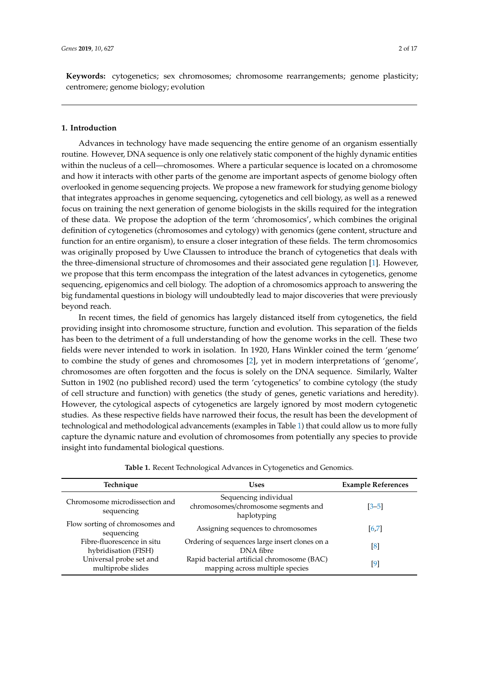**Keywords:** cytogenetics; sex chromosomes; chromosome rearrangements; genome plasticity; centromere; genome biology; evolution

#### **1. Introduction**

Advances in technology have made sequencing the entire genome of an organism essentially routine. However, DNA sequence is only one relatively static component of the highly dynamic entities within the nucleus of a cell—chromosomes. Where a particular sequence is located on a chromosome and how it interacts with other parts of the genome are important aspects of genome biology often overlooked in genome sequencing projects. We propose a new framework for studying genome biology that integrates approaches in genome sequencing, cytogenetics and cell biology, as well as a renewed focus on training the next generation of genome biologists in the skills required for the integration of these data. We propose the adoption of the term 'chromosomics', which combines the original definition of cytogenetics (chromosomes and cytology) with genomics (gene content, structure and function for an entire organism), to ensure a closer integration of these fields. The term chromosomics was originally proposed by Uwe Claussen to introduce the branch of cytogenetics that deals with the three-dimensional structure of chromosomes and their associated gene regulation [1]. However, we propose that this term encompass the integration of the latest advances in cytogenetics, genome sequencing, epigenomics and cell biology. The adoption of a chromosomics approach to answering the big fundamental questions in biology will undoubtedly lead to major discoveries that were previously beyond reach.

In recent times, the field of genomics has largely distanced itself from cytogenetics, the field providing insight into chromosome structure, function and evolution. This separation of the fields has been to the detriment of a full understanding of how the genome works in the cell. These two fields were never intended to work in isolation. In 1920, Hans Winkler coined the term 'genome' to combine the study of genes and chromosomes [2], yet in modern interpretations of 'genome', chromosomes are often forgotten and the focus is solely on the DNA sequence. Similarly, Walter Sutton in 1902 (no published record) used the term 'cytogenetics' to combine cytology (the study of cell structure and function) with genetics (the study of genes, genetic variations and heredity). However, the cytological aspects of cytogenetics are largely ignored by most modern cytogenetic studies. As these respective fields have narrowed their focus, the result has been the development of technological and methodological advancements (examples in Table 1) that could allow us to more fully capture the dynamic nature and evolution of chromosomes from potentially any species to provide insight into fundamental biological questions.

| Technique                                          | <b>Uses</b>                                                                    | <b>Example References</b> |
|----------------------------------------------------|--------------------------------------------------------------------------------|---------------------------|
| Chromosome microdissection and<br>sequencing       | Sequencing individual<br>chromosomes/chromosome segments and<br>haplotyping    | $\left[3 - 5\right]$      |
| Flow sorting of chromosomes and<br>sequencing      | Assigning sequences to chromosomes                                             | [6,7]                     |
| Fibre-fluorescence in situ<br>hybridisation (FISH) | Ordering of sequences large insert clones on a<br>DNA fibre                    | $\lceil 8 \rceil$         |
| Universal probe set and<br>multiprobe slides       | Rapid bacterial artificial chromosome (BAC)<br>mapping across multiple species | $[9]$                     |

**Table 1.** Recent Technological Advances in Cytogenetics and Genomics.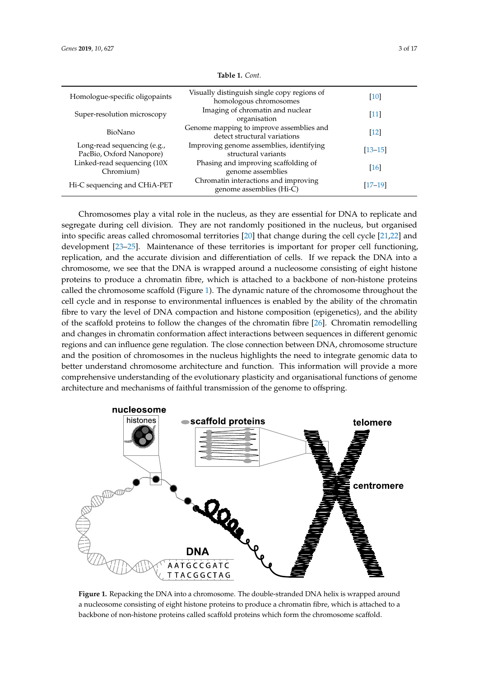| Homologue-specific oligopaints                          | Visually distinguish single copy regions of<br>homologous chromosomes    | $[10]$             |
|---------------------------------------------------------|--------------------------------------------------------------------------|--------------------|
| Super-resolution microscopy                             | Imaging of chromatin and nuclear<br>organisation                         | $[11]$             |
| BioNano                                                 | Genome mapping to improve assemblies and<br>detect structural variations | $[12]$             |
| Long-read sequencing (e.g.,<br>PacBio, Oxford Nanopore) | Improving genome assemblies, identifying<br>structural variants          | $[13 - 15]$        |
| Linked-read sequencing (10X<br>Chromium)                | Phasing and improving scaffolding of<br>genome assemblies                | $\lceil 16 \rceil$ |
| Hi-C sequencing and CHiA-PET                            | Chromatin interactions and improving<br>genome assemblies (Hi-C)         | $[17-19]$          |
|                                                         |                                                                          |                    |

**Table 1.** *Cont.*

Chromosomes play a vital role in the nucleus, as they are essential for DNA to replicate and segregate during cell division. They are not randomly positioned in the nucleus, but organised into specific areas called chromosomal territories [20] that change during the cell cycle [21,22] and development  $[23-25]$ . Maintenance of these territories is important for proper cell functioning, replication, and the accurate division and differentiation of cells. If we repack the DNA into a development [23–25]. Maintenance of these territories is important for proper cell functioning, chromosome, we see that the DNA is wrapped around a nucleosome consisting of eight histone chromosome, we see that the DNA is wrapped around a nucleosome consisting of eight histone proteins to produce a chromatin fibre, which is attached to a backbone of non-histone proteins proteins to produce a chromatin fibre, which is attached to a backbone of non-histone proteins called  $cal$  called the chromosome scaffold (Figure 1). The dynamic nature of the chromosome throughout the  $\,$ cell cycle and in response to environmental influences is enabled by the ability of the chromatin fibre to vary the level of DNA compaction and histone composition (epigenetics), and the ability of the scaffold proteins to follow the changes of the chromatin fibre  $[26]$ . Chromatin remodelling and changes in chromatin conformation affect interactions between sequences in different genomic regions and can influence gene regulation. The close connection between DNA, chromosome structure and the position of chromosomes in the nucleus highlights the need to integrate genomic data to better understand chromosome architecture and function. This information will provide a more comprehensive understanding of the evolutionary plasticity and organisational functions of genome comprehensive understanding of the evolutionary plasticity and organisational functions of genome architecture and mechanisms of faithful transmission of the genome to offspring. architecture and mechanisms of faithful transmission of the genome to offspring. replication, and the accurate division and differentiation of cells. If we repack the DNA into a



a nucleosome consisting of eight histone proteins to produce a chromatin fibre, which is attached to a around a nucleosome constant  $\frac{1}{2}$  of  $\frac{1}{2}$  and  $\frac{1}{2}$  to proteins to produce a chromatin fibre, which is produced as  $\frac{1}{2}$ backbone of non-histone proteins called scaffold proteins which form the chromosome scaffold.<br> **Figure 1.** Repacking the DNA into a chromosome. The double-stranded DNA helix is wrapped around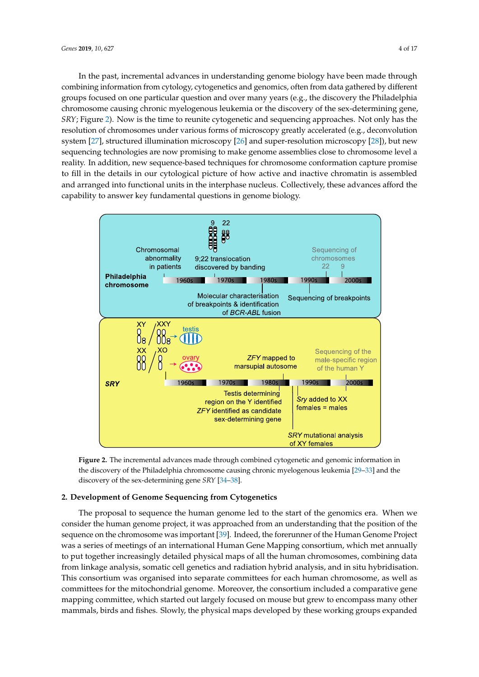In the past, incremental advances in understanding genome biology have been made through combining information from cytology, cytogenetics and genomics, often from data gathered by different groups focused on one particular question and over many years (e.g., the discovery the Philadelphia chromosome causing chronic myelogenous leukemia or the discovery of the sex-determining gene, SRY; Figure 2). Now is the time to reunite cytogenetic and sequencing approaches. Not only has the resolution of chromosomes under various forms of microscopy greatly accelerated (e.g., deconvolution system [27], structured illumination microscopy [26] and super-resolution microscopy [28]), but new sequencing technologies are now promising to make genome assemblies close to chromosome level a reality. In addition, new sequence-based techniques for chromosome conformation capture promise to fill in the details in our cytological picture of how active and inactive chromatin is assembled and arranged into functional units in the interphase nucleus. Collectively, these advances afford the capability to answer key fundamental questions in genome biology.  $\frac{1}{1}$  bese advanced to answer key fundamental questions in genome biology.



the discovery of the Philadelphia chromosome causing chronic myelogenous leukemia [29–33] and the discovery of the sex-determining gene *SRY* [34–38]. **Figure 2.** The incremental advances made through combined cytogenetic and genomic information in

#### the discovery of the sex-determining gene *SRY* [34–38]. **2. Development of Genome Sequencing from Cytogenetics**

The proposal to sequence the human genome led to the start of the genomics era. When we consider the human genome project, it was approached from an understanding that the position of the sequence on the chromosome was important [39]. Indeed, the forerunner of the Human Genome Project was a series of meetings of an international Human Gene Mapping consortium, which met annually to put together increasingly detailed physical maps of all the human chromosomes, combining data from linkage analysis, somatic cell genetics and radiation hybrid analysis, and in situ hybridisation. This consortium was organised into separate committees for each human chromosome, as well as committees for the mitochondrial genome. Moreover, the consortium included a comparative gene mapping committee, which started out largely focused on mouse but grew to encompass many other mammals, birds and fishes. Slowly, the physical maps developed by these working groups expanded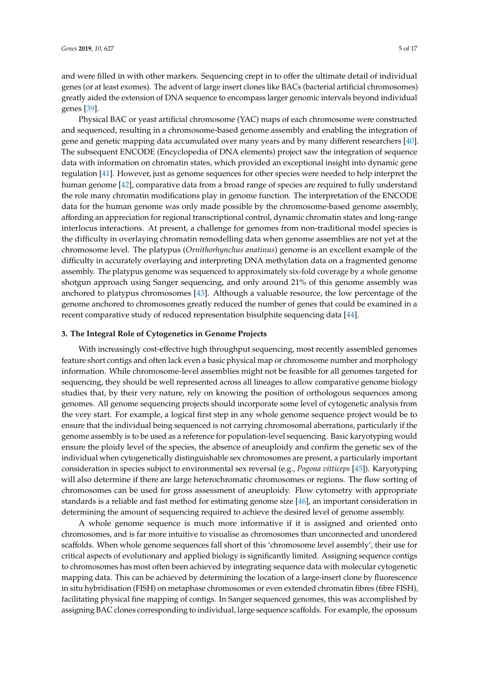and were filled in with other markers. Sequencing crept in to offer the ultimate detail of individual genes (or at least exomes). The advent of large insert clones like BACs (bacterial artificial chromosomes) greatly aided the extension of DNA sequence to encompass larger genomic intervals beyond individual genes [39].

Physical BAC or yeast artificial chromosome (YAC) maps of each chromosome were constructed and sequenced, resulting in a chromosome-based genome assembly and enabling the integration of gene and genetic mapping data accumulated over many years and by many different researchers [40]. The subsequent ENCODE (Encyclopedia of DNA elements) project saw the integration of sequence data with information on chromatin states, which provided an exceptional insight into dynamic gene regulation [41]. However, just as genome sequences for other species were needed to help interpret the human genome [42], comparative data from a broad range of species are required to fully understand the role many chromatin modifications play in genome function. The interpretation of the ENCODE data for the human genome was only made possible by the chromosome-based genome assembly, affording an appreciation for regional transcriptional control, dynamic chromatin states and long-range interlocus interactions. At present, a challenge for genomes from non-traditional model species is the difficulty in overlaying chromatin remodelling data when genome assemblies are not yet at the chromosome level. The platypus (*Ornithorhynchus anatinus*) genome is an excellent example of the difficulty in accurately overlaying and interpreting DNA methylation data on a fragmented genome assembly. The platypus genome was sequenced to approximately six-fold coverage by a whole genome shotgun approach using Sanger sequencing, and only around 21% of this genome assembly was anchored to platypus chromosomes [43]. Although a valuable resource, the low percentage of the genome anchored to chromosomes greatly reduced the number of genes that could be examined in a recent comparative study of reduced representation bisulphite sequencing data [44].

#### **3. The Integral Role of Cytogenetics in Genome Projects**

With increasingly cost-effective high throughput sequencing, most recently assembled genomes feature short contigs and often lack even a basic physical map or chromosome number and morphology information. While chromosome-level assemblies might not be feasible for all genomes targeted for sequencing, they should be well represented across all lineages to allow comparative genome biology studies that, by their very nature, rely on knowing the position of orthologous sequences among genomes. All genome sequencing projects should incorporate some level of cytogenetic analysis from the very start. For example, a logical first step in any whole genome sequence project would be to ensure that the individual being sequenced is not carrying chromosomal aberrations, particularly if the genome assembly is to be used as a reference for population-level sequencing. Basic karyotyping would ensure the ploidy level of the species, the absence of aneuploidy and confirm the genetic sex of the individual when cytogenetically distinguishable sex chromosomes are present, a particularly important consideration in species subject to environmental sex reversal (e.g., *Pogona vitticeps* [45]). Karyotyping will also determine if there are large heterochromatic chromosomes or regions. The flow sorting of chromosomes can be used for gross assessment of aneuploidy. Flow cytometry with appropriate standards is a reliable and fast method for estimating genome size [46], an important consideration in determining the amount of sequencing required to achieve the desired level of genome assembly.

A whole genome sequence is much more informative if it is assigned and oriented onto chromosomes, and is far more intuitive to visualise as chromosomes than unconnected and unordered scaffolds. When whole genome sequences fall short of this 'chromosome level assembly', their use for critical aspects of evolutionary and applied biology is significantly limited. Assigning sequence contigs to chromosomes has most often been achieved by integrating sequence data with molecular cytogenetic mapping data. This can be achieved by determining the location of a large-insert clone by fluorescence in situ hybridisation (FISH) on metaphase chromosomes or even extended chromatin fibres (fibre FISH), facilitating physical fine mapping of contigs. In Sanger sequenced genomes, this was accomplished by assigning BAC clones corresponding to individual, large sequence scaffolds. For example, the opossum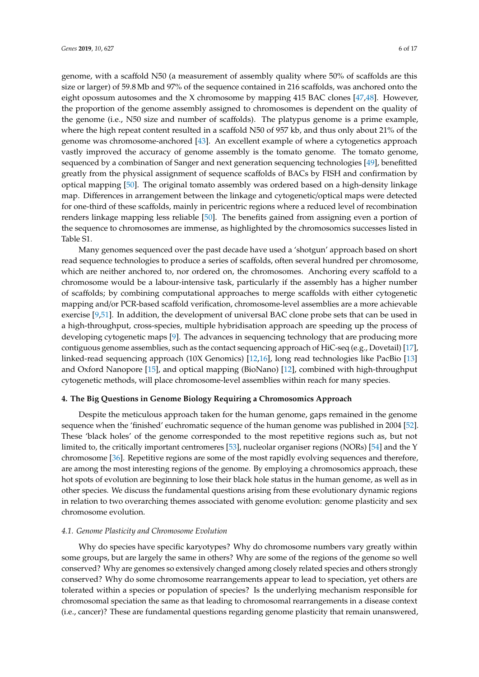genome, with a scaffold N50 (a measurement of assembly quality where 50% of scaffolds are this size or larger) of 59.8 Mb and 97% of the sequence contained in 216 scaffolds, was anchored onto the eight opossum autosomes and the X chromosome by mapping 415 BAC clones [47,48]. However, the proportion of the genome assembly assigned to chromosomes is dependent on the quality of the genome (i.e., N50 size and number of scaffolds). The platypus genome is a prime example, where the high repeat content resulted in a scaffold N50 of 957 kb, and thus only about 21% of the genome was chromosome-anchored [43]. An excellent example of where a cytogenetics approach vastly improved the accuracy of genome assembly is the tomato genome. The tomato genome, sequenced by a combination of Sanger and next generation sequencing technologies [49], benefitted greatly from the physical assignment of sequence scaffolds of BACs by FISH and confirmation by optical mapping [50]. The original tomato assembly was ordered based on a high-density linkage map. Differences in arrangement between the linkage and cytogenetic/optical maps were detected for one-third of these scaffolds, mainly in pericentric regions where a reduced level of recombination renders linkage mapping less reliable [50]. The benefits gained from assigning even a portion of the sequence to chromosomes are immense, as highlighted by the chromosomics successes listed in Table S1.

Many genomes sequenced over the past decade have used a 'shotgun' approach based on short read sequence technologies to produce a series of scaffolds, often several hundred per chromosome, which are neither anchored to, nor ordered on, the chromosomes. Anchoring every scaffold to a chromosome would be a labour-intensive task, particularly if the assembly has a higher number of scaffolds; by combining computational approaches to merge scaffolds with either cytogenetic mapping and/or PCR-based scaffold verification, chromosome-level assemblies are a more achievable exercise [9,51]. In addition, the development of universal BAC clone probe sets that can be used in a high-throughput, cross-species, multiple hybridisation approach are speeding up the process of developing cytogenetic maps [9]. The advances in sequencing technology that are producing more contiguous genome assemblies, such as the contact sequencing approach of HiC-seq (e.g., Dovetail) [17], linked-read sequencing approach (10X Genomics) [12,16], long read technologies like PacBio [13] and Oxford Nanopore [15], and optical mapping (BioNano) [12], combined with high-throughput cytogenetic methods, will place chromosome-level assemblies within reach for many species.

#### **4. The Big Questions in Genome Biology Requiring a Chromosomics Approach**

Despite the meticulous approach taken for the human genome, gaps remained in the genome sequence when the 'finished' euchromatic sequence of the human genome was published in 2004 [52]. These 'black holes' of the genome corresponded to the most repetitive regions such as, but not limited to, the critically important centromeres [53], nucleolar organiser regions (NORs) [54] and the Y chromosome [36]. Repetitive regions are some of the most rapidly evolving sequences and therefore, are among the most interesting regions of the genome. By employing a chromosomics approach, these hot spots of evolution are beginning to lose their black hole status in the human genome, as well as in other species. We discuss the fundamental questions arising from these evolutionary dynamic regions in relation to two overarching themes associated with genome evolution: genome plasticity and sex chromosome evolution.

#### *4.1. Genome Plasticity and Chromosome Evolution*

Why do species have specific karyotypes? Why do chromosome numbers vary greatly within some groups, but are largely the same in others? Why are some of the regions of the genome so well conserved? Why are genomes so extensively changed among closely related species and others strongly conserved? Why do some chromosome rearrangements appear to lead to speciation, yet others are tolerated within a species or population of species? Is the underlying mechanism responsible for chromosomal speciation the same as that leading to chromosomal rearrangements in a disease context (i.e., cancer)? These are fundamental questions regarding genome plasticity that remain unanswered,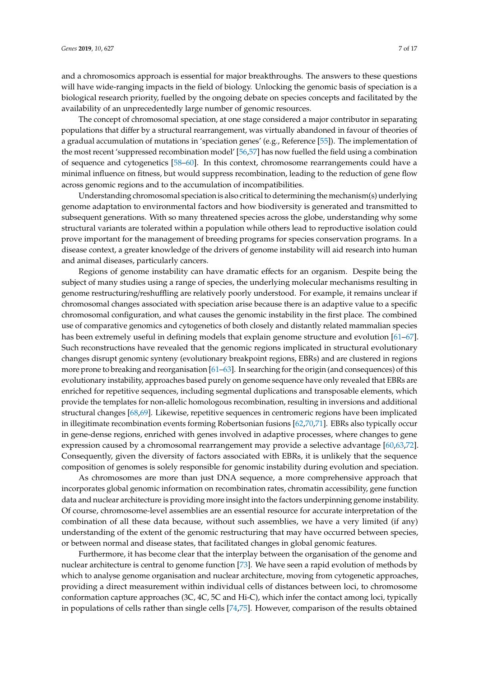and a chromosomics approach is essential for major breakthroughs. The answers to these questions will have wide-ranging impacts in the field of biology. Unlocking the genomic basis of speciation is a biological research priority, fuelled by the ongoing debate on species concepts and facilitated by the availability of an unprecedentedly large number of genomic resources.

The concept of chromosomal speciation, at one stage considered a major contributor in separating populations that differ by a structural rearrangement, was virtually abandoned in favour of theories of a gradual accumulation of mutations in 'speciation genes' (e.g., Reference [55]). The implementation of the most recent 'suppressed recombination model' [56,57] has now fuelled the field using a combination of sequence and cytogenetics [58–60]. In this context, chromosome rearrangements could have a minimal influence on fitness, but would suppress recombination, leading to the reduction of gene flow across genomic regions and to the accumulation of incompatibilities.

Understanding chromosomal speciation is also critical to determining the mechanism(s) underlying genome adaptation to environmental factors and how biodiversity is generated and transmitted to subsequent generations. With so many threatened species across the globe, understanding why some structural variants are tolerated within a population while others lead to reproductive isolation could prove important for the management of breeding programs for species conservation programs. In a disease context, a greater knowledge of the drivers of genome instability will aid research into human and animal diseases, particularly cancers.

Regions of genome instability can have dramatic effects for an organism. Despite being the subject of many studies using a range of species, the underlying molecular mechanisms resulting in genome restructuring/reshuffling are relatively poorly understood. For example, it remains unclear if chromosomal changes associated with speciation arise because there is an adaptive value to a specific chromosomal configuration, and what causes the genomic instability in the first place. The combined use of comparative genomics and cytogenetics of both closely and distantly related mammalian species has been extremely useful in defining models that explain genome structure and evolution [61–67]. Such reconstructions have revealed that the genomic regions implicated in structural evolutionary changes disrupt genomic synteny (evolutionary breakpoint regions, EBRs) and are clustered in regions more prone to breaking and reorganisation [61–63]. In searching for the origin (and consequences) of this evolutionary instability, approaches based purely on genome sequence have only revealed that EBRs are enriched for repetitive sequences, including segmental duplications and transposable elements, which provide the templates for non-allelic homologous recombination, resulting in inversions and additional structural changes [68,69]. Likewise, repetitive sequences in centromeric regions have been implicated in illegitimate recombination events forming Robertsonian fusions [62,70,71]. EBRs also typically occur in gene-dense regions, enriched with genes involved in adaptive processes, where changes to gene expression caused by a chromosomal rearrangement may provide a selective advantage [60,63,72]. Consequently, given the diversity of factors associated with EBRs, it is unlikely that the sequence composition of genomes is solely responsible for genomic instability during evolution and speciation.

As chromosomes are more than just DNA sequence, a more comprehensive approach that incorporates global genomic information on recombination rates, chromatin accessibility, gene function data and nuclear architecture is providing more insight into the factors underpinning genome instability. Of course, chromosome-level assemblies are an essential resource for accurate interpretation of the combination of all these data because, without such assemblies, we have a very limited (if any) understanding of the extent of the genomic restructuring that may have occurred between species, or between normal and disease states, that facilitated changes in global genomic features.

Furthermore, it has become clear that the interplay between the organisation of the genome and nuclear architecture is central to genome function [73]. We have seen a rapid evolution of methods by which to analyse genome organisation and nuclear architecture, moving from cytogenetic approaches, providing a direct measurement within individual cells of distances between loci, to chromosome conformation capture approaches (3C, 4C, 5C and Hi-C), which infer the contact among loci, typically in populations of cells rather than single cells [74,75]. However, comparison of the results obtained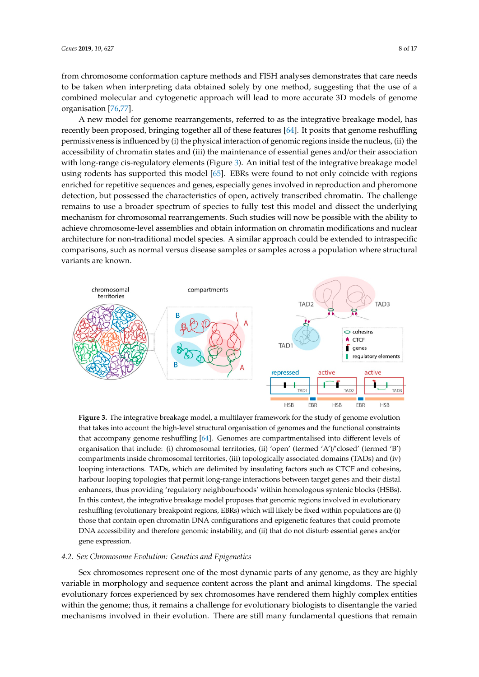from chromosome conformation capture methods and FISH analyses demonstrates that care needs to be taken when interpreting data obtained solely by one method, suggesting that the use of a combined molecular and cytogenetic approach will lead to more accurate 3D models of genome organisation [76,77].

A new model for genome rearrangements, referred to as the integrative breakage model, has A new model for genome rearrangements, referred to as the integrative breakage model, has recently been proposed, bringing together all of these features [64]. It posits that genome reshuffling recently been proposed, bringing together all of these features [64]. It posits that genome reshuffling permissiveness is influenced by (i) the physical interaction of genomic regions inside the nucleus, (ii) the permissiveness is influenced by (i) the physical interaction of genomic regions inside the nucleus, (ii) accessibility of chromatin states and (iii) the maintenance of essential genes and/or their association with long-range cis-regulatory elements (Figure 3). An initial test of the integrative breakage model using rodents has supported this model [65]. EBRs were found to not only coincide with regions enriched for repetitive sequences and genes, especially genes involved in reproduction and pheromone detection, but possessed the characteristics of open, actively transcribed chromatin. The challenge remains to use a broader spectrum of species to fully test this model and dissect the underlying mechanism for chromosomal rearrangements. Such studies will now be possible with the ability to achieve chromosome-level assemblies and obtain information on chromatin modifications and nuclear architecture for non-traditional model species. A similar approach could be extended to intraspecific comparisons, such as normal versus disease samples or samples across a population where structural variants are known.



that accompany genome reshuffling [64]. Genomes are compartmentalised into different levels of organisation that include: (i) chromosomal territories, (ii) 'open' (termed 'A')/'closed' (termed 'B') compartments inside chromosomal territories, (iii) topologically associated domains (TADs) and (iv) looping interactions. TADs, which are delimited by insulating factors such as CTCF and cohesins, harbour looping topologies that permit long-range interactions between target genes and their distal enhancers, thus providing 'regulatory neighbourhoods' within homologous syntenic blocks (HSBs). In this context, the integrative breakage model proposes that genomic regions involved in evolutionary reshuffling (evolutionary breakpoint regions, EBRs) which will likely be fixed within populations are (i) those that contain open chromatin DNA configurations and epigenetic features that could promote DNA accessibility and therefore genomic instability, and (ii) that do not disturb essential genes and/or populations are (i) those that contain open chromatin DNA configurations and epigenetic features gene expression. **Figure 3.** The integrative breakage model, a multilayer framework for the study of genome evolution that takes into account the high-level structural organisation of genomes and the functional constraints

#### 4.2. *Sex Chromosome Evolution: Genetics and Epigenetics*

variable in morphology and sequence content across the plant and animal kingdoms. The special evolutionary forces experienced by sex chromosomes have rendered them highly complex entities within the genome; thus, it remains a challenge for evolutionary biologists to disentangle the varied mechanisms involved in their evolution. There are still many fundamental questions that remain Sex chromosomes represent one of the most dynamic parts of any genome, as they are highly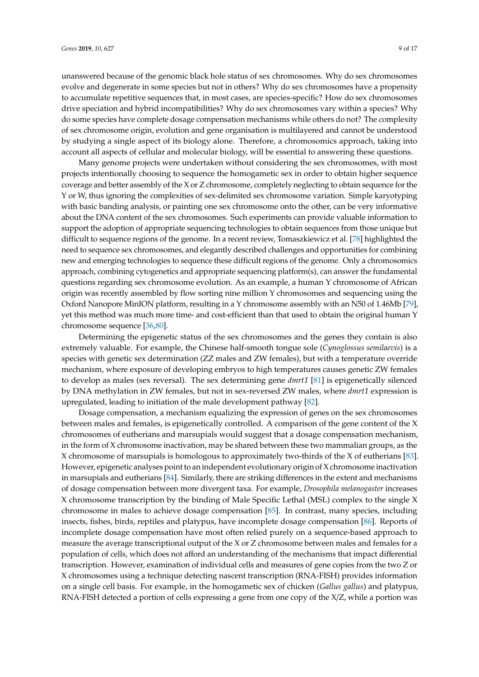unanswered because of the genomic black hole status of sex chromosomes. Why do sex chromosomes evolve and degenerate in some species but not in others? Why do sex chromosomes have a propensity to accumulate repetitive sequences that, in most cases, are species-specific? How do sex chromosomes drive speciation and hybrid incompatibilities? Why do sex chromosomes vary within a species? Why do some species have complete dosage compensation mechanisms while others do not? The complexity of sex chromosome origin, evolution and gene organisation is multilayered and cannot be understood by studying a single aspect of its biology alone. Therefore, a chromosomics approach, taking into account all aspects of cellular and molecular biology, will be essential to answering these questions.

Many genome projects were undertaken without considering the sex chromosomes, with most projects intentionally choosing to sequence the homogametic sex in order to obtain higher sequence coverage and better assembly of the X or Z chromosome, completely neglecting to obtain sequence for the Y or W, thus ignoring the complexities of sex-delimited sex chromosome variation. Simple karyotyping with basic banding analysis, or painting one sex chromosome onto the other, can be very informative about the DNA content of the sex chromosomes. Such experiments can provide valuable information to support the adoption of appropriate sequencing technologies to obtain sequences from those unique but difficult to sequence regions of the genome. In a recent review, Tomaszkiewicz et al. [78] highlighted the need to sequence sex chromosomes, and elegantly described challenges and opportunities for combining new and emerging technologies to sequence these difficult regions of the genome. Only a chromosomics approach, combining cytogenetics and appropriate sequencing platform(s), can answer the fundamental questions regarding sex chromosome evolution. As an example, a human Y chromosome of African origin was recently assembled by flow sorting nine million Y chromosomes and sequencing using the Oxford Nanopore MinION platform, resulting in a Y chromosome assembly with an N50 of 1.46Mb [79], yet this method was much more time- and cost-efficient than that used to obtain the original human Y chromosome sequence [36,80].

Determining the epigenetic status of the sex chromosomes and the genes they contain is also extremely valuable. For example, the Chinese half-smooth tongue sole (*Cynoglossus semilaevis*) is a species with genetic sex determination (ZZ males and ZW females), but with a temperature override mechanism, where exposure of developing embryos to high temperatures causes genetic ZW females to develop as males (sex reversal). The sex determining gene *dmrt1* [81] is epigenetically silenced by DNA methylation in ZW females, but not in sex-reversed ZW males, where *dmrt1* expression is upregulated, leading to initiation of the male development pathway [82].

Dosage compensation, a mechanism equalizing the expression of genes on the sex chromosomes between males and females, is epigenetically controlled. A comparison of the gene content of the X chromosomes of eutherians and marsupials would suggest that a dosage compensation mechanism, in the form of X chromosome inactivation, may be shared between these two mammalian groups, as the X chromosome of marsupials is homologous to approximately two-thirds of the X of eutherians [83]. However, epigenetic analyses point to an independent evolutionary origin of X chromosome inactivation in marsupials and eutherians [84]. Similarly, there are striking differences in the extent and mechanisms of dosage compensation between more divergent taxa. For example, *Drosophila melanogaster* increases X chromosome transcription by the binding of Male Specific Lethal (MSL) complex to the single X chromosome in males to achieve dosage compensation [85]. In contrast, many species, including insects, fishes, birds, reptiles and platypus, have incomplete dosage compensation [86]. Reports of incomplete dosage compensation have most often relied purely on a sequence-based approach to measure the average transcriptional output of the X or Z chromosome between males and females for a population of cells, which does not afford an understanding of the mechanisms that impact differential transcription. However, examination of individual cells and measures of gene copies from the two Z or X chromosomes using a technique detecting nascent transcription (RNA-FISH) provides information on a single cell basis. For example, in the homogametic sex of chicken (*Gallus gallus*) and platypus, RNA-FISH detected a portion of cells expressing a gene from one copy of the X/Z, while a portion was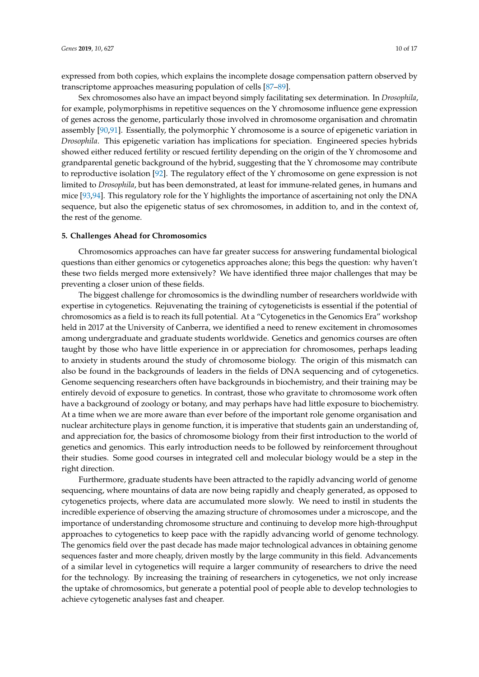expressed from both copies, which explains the incomplete dosage compensation pattern observed by transcriptome approaches measuring population of cells [87–89].

Sex chromosomes also have an impact beyond simply facilitating sex determination. In *Drosophila*, for example, polymorphisms in repetitive sequences on the Y chromosome influence gene expression of genes across the genome, particularly those involved in chromosome organisation and chromatin assembly [90,91]. Essentially, the polymorphic Y chromosome is a source of epigenetic variation in *Drosophila*. This epigenetic variation has implications for speciation. Engineered species hybrids showed either reduced fertility or rescued fertility depending on the origin of the Y chromosome and grandparental genetic background of the hybrid, suggesting that the Y chromosome may contribute to reproductive isolation [92]. The regulatory effect of the Y chromosome on gene expression is not limited to *Drosophila*, but has been demonstrated, at least for immune-related genes, in humans and mice [93,94]. This regulatory role for the Y highlights the importance of ascertaining not only the DNA sequence, but also the epigenetic status of sex chromosomes, in addition to, and in the context of, the rest of the genome.

#### **5. Challenges Ahead for Chromosomics**

Chromosomics approaches can have far greater success for answering fundamental biological questions than either genomics or cytogenetics approaches alone; this begs the question: why haven't these two fields merged more extensively? We have identified three major challenges that may be preventing a closer union of these fields.

The biggest challenge for chromosomics is the dwindling number of researchers worldwide with expertise in cytogenetics. Rejuvenating the training of cytogeneticists is essential if the potential of chromosomics as a field is to reach its full potential. At a "Cytogenetics in the Genomics Era" workshop held in 2017 at the University of Canberra, we identified a need to renew excitement in chromosomes among undergraduate and graduate students worldwide. Genetics and genomics courses are often taught by those who have little experience in or appreciation for chromosomes, perhaps leading to anxiety in students around the study of chromosome biology. The origin of this mismatch can also be found in the backgrounds of leaders in the fields of DNA sequencing and of cytogenetics. Genome sequencing researchers often have backgrounds in biochemistry, and their training may be entirely devoid of exposure to genetics. In contrast, those who gravitate to chromosome work often have a background of zoology or botany, and may perhaps have had little exposure to biochemistry. At a time when we are more aware than ever before of the important role genome organisation and nuclear architecture plays in genome function, it is imperative that students gain an understanding of, and appreciation for, the basics of chromosome biology from their first introduction to the world of genetics and genomics. This early introduction needs to be followed by reinforcement throughout their studies. Some good courses in integrated cell and molecular biology would be a step in the right direction.

Furthermore, graduate students have been attracted to the rapidly advancing world of genome sequencing, where mountains of data are now being rapidly and cheaply generated, as opposed to cytogenetics projects, where data are accumulated more slowly. We need to instil in students the incredible experience of observing the amazing structure of chromosomes under a microscope, and the importance of understanding chromosome structure and continuing to develop more high-throughput approaches to cytogenetics to keep pace with the rapidly advancing world of genome technology. The genomics field over the past decade has made major technological advances in obtaining genome sequences faster and more cheaply, driven mostly by the large community in this field. Advancements of a similar level in cytogenetics will require a larger community of researchers to drive the need for the technology. By increasing the training of researchers in cytogenetics, we not only increase the uptake of chromosomics, but generate a potential pool of people able to develop technologies to achieve cytogenetic analyses fast and cheaper.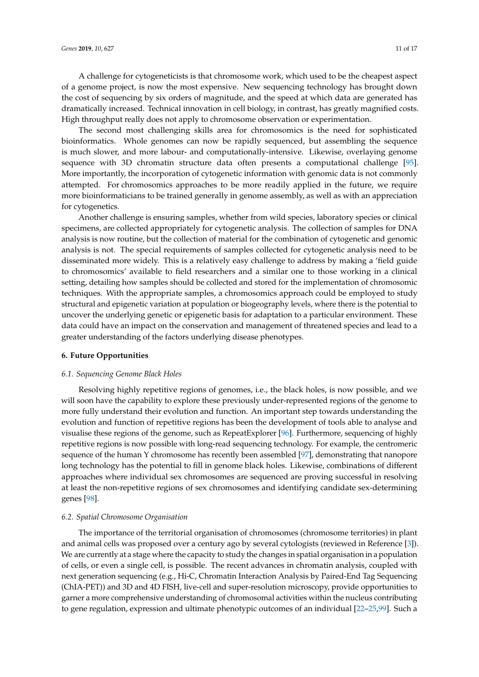A challenge for cytogeneticists is that chromosome work, which used to be the cheapest aspect of a genome project, is now the most expensive. New sequencing technology has brought down the cost of sequencing by six orders of magnitude, and the speed at which data are generated has dramatically increased. Technical innovation in cell biology, in contrast, has greatly magnified costs. High throughput really does not apply to chromosome observation or experimentation.

The second most challenging skills area for chromosomics is the need for sophisticated bioinformatics. Whole genomes can now be rapidly sequenced, but assembling the sequence is much slower, and more labour- and computationally-intensive. Likewise, overlaying genome sequence with 3D chromatin structure data often presents a computational challenge [95]. More importantly, the incorporation of cytogenetic information with genomic data is not commonly attempted. For chromosomics approaches to be more readily applied in the future, we require more bioinformaticians to be trained generally in genome assembly, as well as with an appreciation for cytogenetics.

Another challenge is ensuring samples, whether from wild species, laboratory species or clinical specimens, are collected appropriately for cytogenetic analysis. The collection of samples for DNA analysis is now routine, but the collection of material for the combination of cytogenetic and genomic analysis is not. The special requirements of samples collected for cytogenetic analysis need to be disseminated more widely. This is a relatively easy challenge to address by making a 'field guide to chromosomics' available to field researchers and a similar one to those working in a clinical setting, detailing how samples should be collected and stored for the implementation of chromosomic techniques. With the appropriate samples, a chromosomics approach could be employed to study structural and epigenetic variation at population or biogeography levels, where there is the potential to uncover the underlying genetic or epigenetic basis for adaptation to a particular environment. These data could have an impact on the conservation and management of threatened species and lead to a greater understanding of the factors underlying disease phenotypes.

#### **6. Future Opportunities**

#### *6.1. Sequencing Genome Black Holes*

Resolving highly repetitive regions of genomes, i.e., the black holes, is now possible, and we will soon have the capability to explore these previously under-represented regions of the genome to more fully understand their evolution and function. An important step towards understanding the evolution and function of repetitive regions has been the development of tools able to analyse and visualise these regions of the genome, such as RepeatExplorer [96]. Furthermore, sequencing of highly repetitive regions is now possible with long-read sequencing technology. For example, the centromeric sequence of the human Y chromosome has recently been assembled [97], demonstrating that nanopore long technology has the potential to fill in genome black holes. Likewise, combinations of different approaches where individual sex chromosomes are sequenced are proving successful in resolving at least the non-repetitive regions of sex chromosomes and identifying candidate sex-determining genes [98].

#### *6.2. Spatial Chromosome Organisation*

The importance of the territorial organisation of chromosomes (chromosome territories) in plant and animal cells was proposed over a century ago by several cytologists (reviewed in Reference [3]). We are currently at a stage where the capacity to study the changes in spatial organisation in a population of cells, or even a single cell, is possible. The recent advances in chromatin analysis, coupled with next generation sequencing (e.g., Hi-C, Chromatin Interaction Analysis by Paired-End Tag Sequencing (ChIA-PET)) and 3D and 4D FISH, live-cell and super-resolution microscopy, provide opportunities to garner a more comprehensive understanding of chromosomal activities within the nucleus contributing to gene regulation, expression and ultimate phenotypic outcomes of an individual [22–25,99]. Such a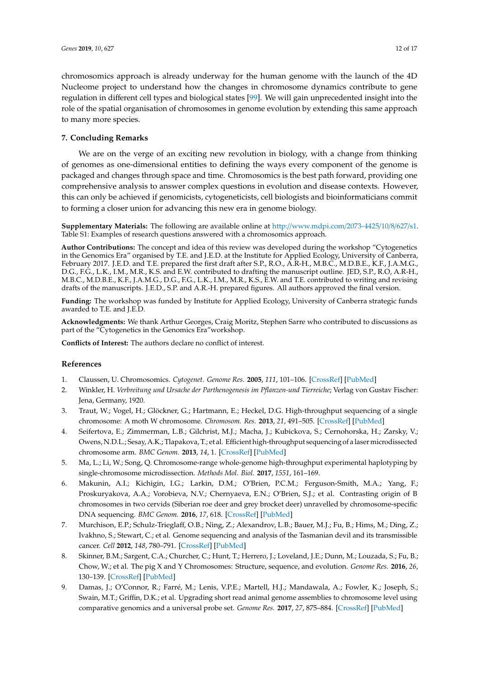chromosomics approach is already underway for the human genome with the launch of the 4D Nucleome project to understand how the changes in chromosome dynamics contribute to gene regulation in different cell types and biological states [99]. We will gain unprecedented insight into the role of the spatial organisation of chromosomes in genome evolution by extending this same approach to many more species.

#### **7. Concluding Remarks**

We are on the verge of an exciting new revolution in biology, with a change from thinking of genomes as one-dimensional entities to defining the ways every component of the genome is packaged and changes through space and time. Chromosomics is the best path forward, providing one comprehensive analysis to answer complex questions in evolution and disease contexts. However, this can only be achieved if genomicists, cytogeneticists, cell biologists and bioinformaticians commit to forming a closer union for advancing this new era in genome biology.

**Supplementary Materials:** The following are available online at http://[www.mdpi.com](http://www.mdpi.com/2073-4425/10/8/627/s1)/2073-4425/10/8/627/s1. Table S1: Examples of research questions answered with a chromosomics approach.

**Author Contributions:** The concept and idea of this review was developed during the workshop "Cytogenetics in the Genomics Era" organised by T.E. and J.E.D. at the Institute for Applied Ecology, University of Canberra, February 2017. J.E.D. and T.E. prepared the first draft after S.P., R.O., A.R-H., M.B.C., M.D.B.E., K.F., J.A.M.G., D.G., F.G., L.K., I.M., M.R., K.S. and E.W. contributed to drafting the manuscript outline. JED, S.P., R.O, A.R-H., M.B.C., M.D.B.E., K.F., J.A.M.G., D.G., F.G., L.K., I.M., M.R., K.S., E.W. and T.E. contributed to writing and revising drafts of the manuscripts. J.E.D., S.P. and A.R.-H. prepared figures. All authors approved the final version.

**Funding:** The workshop was funded by Institute for Applied Ecology, University of Canberra strategic funds awarded to T.E. and J.E.D.

**Acknowledgments:** We thank Arthur Georges, Craig Moritz, Stephen Sarre who contributed to discussions as part of the "Cytogenetics in the Genomics Era"workshop.

**Conflicts of Interest:** The authors declare no conflict of interest.

#### **References**

- 1. Claussen, U. Chromosomics. *Cytogenet. Genome Res.* **2005**, *111*, 101–106. [\[CrossRef\]](http://dx.doi.org/10.1159/000086377) [\[PubMed\]](http://www.ncbi.nlm.nih.gov/pubmed/16103649)
- 2. Winkler, H. *Verbreitung und Ursache der Parthenogenesis im Pflanzen-und Tierreiche*; Verlag von Gustav Fischer: Jena, Germany, 1920.
- 3. Traut, W.; Vogel, H.; Glöckner, G.; Hartmann, E.; Heckel, D.G. High-throughput sequencing of a single chromosome: A moth W chromosome. *Chromosom. Res.* **2013**, *21*, 491–505. [\[CrossRef\]](http://dx.doi.org/10.1007/s10577-013-9376-6) [\[PubMed\]](http://www.ncbi.nlm.nih.gov/pubmed/23949445)
- 4. Seifertova, E.; Zimmerman, L.B.; Gilchrist, M.J.; Macha, J.; Kubickova, S.; Cernohorska, H.; Zarsky, V.; Owens, N.D.L.; Sesay, A.K.; Tlapakova, T.; et al. Efficient high-throughput sequencing of a laser microdissected chromosome arm. *BMC Genom.* **2013**, *14*, 1. [\[CrossRef\]](http://dx.doi.org/10.1186/1471-2164-14-357) [\[PubMed\]](http://www.ncbi.nlm.nih.gov/pubmed/23714049)
- 5. Ma, L.; Li, W.; Song, Q. Chromosome-range whole-genome high-throughput experimental haplotyping by single-chromosome microdissection. *Methods Mol. Biol.* **2017**, *1551*, 161–169.
- 6. Makunin, A.I.; Kichigin, I.G.; Larkin, D.M.; O'Brien, P.C.M.; Ferguson-Smith, M.A.; Yang, F.; Proskuryakova, A.A.; Vorobieva, N.V.; Chernyaeva, E.N.; O'Brien, S.J.; et al. Contrasting origin of B chromosomes in two cervids (Siberian roe deer and grey brocket deer) unravelled by chromosome-specific DNA sequencing. *BMC Genom.* **2016**, *17*, 618. [\[CrossRef\]](http://dx.doi.org/10.1186/s12864-016-2933-6) [\[PubMed\]](http://www.ncbi.nlm.nih.gov/pubmed/27516089)
- 7. Murchison, E.P.; Schulz-Trieglaff, O.B.; Ning, Z.; Alexandrov, L.B.; Bauer, M.J.; Fu, B.; Hims, M.; Ding, Z.; Ivakhno, S.; Stewart, C.; et al. Genome sequencing and analysis of the Tasmanian devil and its transmissible cancer. *Cell* **2012**, *148*, 780–791. [\[CrossRef\]](http://dx.doi.org/10.1016/j.cell.2011.11.065) [\[PubMed\]](http://www.ncbi.nlm.nih.gov/pubmed/22341448)
- 8. Skinner, B.M.; Sargent, C.A.; Churcher, C.; Hunt, T.; Herrero, J.; Loveland, J.E.; Dunn, M.; Louzada, S.; Fu, B.; Chow, W.; et al. The pig X and Y Chromosomes: Structure, sequence, and evolution. *Genome Res.* **2016**, *26*, 130–139. [\[CrossRef\]](http://dx.doi.org/10.1101/gr.188839.114) [\[PubMed\]](http://www.ncbi.nlm.nih.gov/pubmed/26560630)
- 9. Damas, J.; O'Connor, R.; Farré, M.; Lenis, V.P.E.; Martell, H.J.; Mandawala, A.; Fowler, K.; Joseph, S.; Swain, M.T.; Griffin, D.K.; et al. Upgrading short read animal genome assemblies to chromosome level using comparative genomics and a universal probe set. *Genome Res.* **2017**, *27*, 875–884. [\[CrossRef\]](http://dx.doi.org/10.1101/gr.213660.116) [\[PubMed\]](http://www.ncbi.nlm.nih.gov/pubmed/27903645)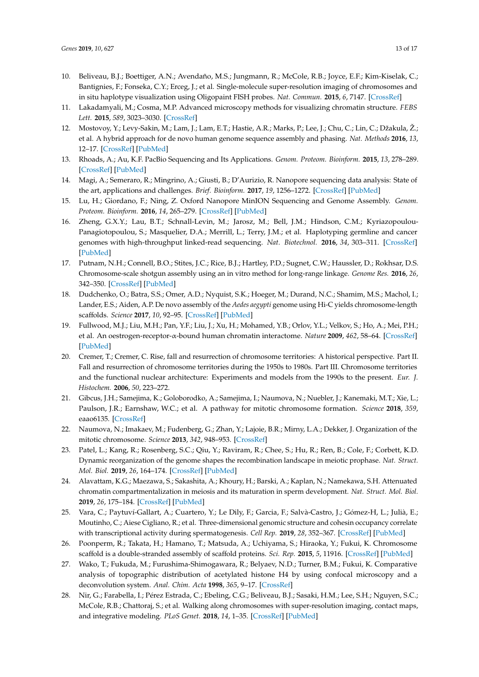- 10. Beliveau, B.J.; Boettiger, A.N.; Avendaño, M.S.; Jungmann, R.; McCole, R.B.; Joyce, E.F.; Kim-Kiselak, C.; Bantignies, F.; Fonseka, C.Y.; Erceg, J.; et al. Single-molecule super-resolution imaging of chromosomes and in situ haplotype visualization using Oligopaint FISH probes. *Nat. Commun.* **2015**, *6*, 7147. [\[CrossRef\]](http://dx.doi.org/10.1038/ncomms8147)
- 11. Lakadamyali, M.; Cosma, M.P. Advanced microscopy methods for visualizing chromatin structure. *FEBS Lett.* **2015**, *589*, 3023–3030. [\[CrossRef\]](http://dx.doi.org/10.1016/j.febslet.2015.04.012)
- 12. Mostovoy, Y.; Levy-Sakin, M.; Lam, J.; Lam, E.T.; Hastie, A.R.; Marks, P.; Lee, J.; Chu, C.; Lin, C.; Džakula, Ž.; et al. A hybrid approach for de novo human genome sequence assembly and phasing. *Nat. Methods* **2016**, *13*, 12–17. [\[CrossRef\]](http://dx.doi.org/10.1038/nmeth.3865) [\[PubMed\]](http://www.ncbi.nlm.nih.gov/pubmed/27159086)
- 13. Rhoads, A.; Au, K.F. PacBio Sequencing and Its Applications. *Genom. Proteom. Bioinform.* **2015**, *13*, 278–289. [\[CrossRef\]](http://dx.doi.org/10.1016/j.gpb.2015.08.002) [\[PubMed\]](http://www.ncbi.nlm.nih.gov/pubmed/26542840)
- 14. Magi, A.; Semeraro, R.; Mingrino, A.; Giusti, B.; D'Aurizio, R. Nanopore sequencing data analysis: State of the art, applications and challenges. *Brief. Bioinform.* **2017**, *19*, 1256–1272. [\[CrossRef\]](http://dx.doi.org/10.1093/bib/bbx062) [\[PubMed\]](http://www.ncbi.nlm.nih.gov/pubmed/28637243)
- 15. Lu, H.; Giordano, F.; Ning, Z. Oxford Nanopore MinION Sequencing and Genome Assembly. *Genom. Proteom. Bioinform.* **2016**, *14*, 265–279. [\[CrossRef\]](http://dx.doi.org/10.1016/j.gpb.2016.05.004) [\[PubMed\]](http://www.ncbi.nlm.nih.gov/pubmed/27646134)
- 16. Zheng, G.X.Y.; Lau, B.T.; Schnall-Levin, M.; Jarosz, M.; Bell, J.M.; Hindson, C.M.; Kyriazopoulou-Panagiotopoulou, S.; Masquelier, D.A.; Merrill, L.; Terry, J.M.; et al. Haplotyping germline and cancer genomes with high-throughput linked-read sequencing. *Nat. Biotechnol.* **2016**, *34*, 303–311. [\[CrossRef\]](http://dx.doi.org/10.1038/nbt.3432) [\[PubMed\]](http://www.ncbi.nlm.nih.gov/pubmed/26829319)
- 17. Putnam, N.H.; Connell, B.O.; Stites, J.C.; Rice, B.J.; Hartley, P.D.; Sugnet, C.W.; Haussler, D.; Rokhsar, D.S. Chromosome-scale shotgun assembly using an in vitro method for long-range linkage. *Genome Res.* **2016**, *26*, 342–350. [\[CrossRef\]](http://dx.doi.org/10.1101/gr.193474.115) [\[PubMed\]](http://www.ncbi.nlm.nih.gov/pubmed/26848124)
- 18. Dudchenko, O.; Batra, S.S.; Omer, A.D.; Nyquist, S.K.; Hoeger, M.; Durand, N.C.; Shamim, M.S.; Machol, I.; Lander, E.S.; Aiden, A.P. De novo assembly of the *Aedes aegypti* genome using Hi-C yields chromosome-length scaffolds. *Science* **2017**, *10*, 92–95. [\[CrossRef\]](http://dx.doi.org/10.1126/science.aal3327) [\[PubMed\]](http://www.ncbi.nlm.nih.gov/pubmed/28336562)
- 19. Fullwood, M.J.; Liu, M.H.; Pan, Y.F.; Liu, J.; Xu, H.; Mohamed, Y.B.; Orlov, Y.L.; Velkov, S.; Ho, A.; Mei, P.H.; et al. An oestrogen-receptor-α-bound human chromatin interactome. *Nature* **2009**, *462*, 58–64. [\[CrossRef\]](http://dx.doi.org/10.1038/nature08497) [\[PubMed\]](http://www.ncbi.nlm.nih.gov/pubmed/19890323)
- 20. Cremer, T.; Cremer, C. Rise, fall and resurrection of chromosome territories: A historical perspective. Part II. Fall and resurrection of chromosome territories during the 1950s to 1980s. Part III. Chromosome territories and the functional nuclear architecture: Experiments and models from the 1990s to the present. *Eur. J. Histochem.* **2006**, *50*, 223–272.
- 21. Gibcus, J.H.; Samejima, K.; Goloborodko, A.; Samejima, I.; Naumova, N.; Nuebler, J.; Kanemaki, M.T.; Xie, L.; Paulson, J.R.; Earnshaw, W.C.; et al. A pathway for mitotic chromosome formation. *Science* **2018**, *359*, eaao6135. [\[CrossRef\]](http://dx.doi.org/10.1126/science.aao6135)
- 22. Naumova, N.; Imakaev, M.; Fudenberg, G.; Zhan, Y.; Lajoie, B.R.; Mirny, L.A.; Dekker, J. Organization of the mitotic chromosome. *Science* **2013**, *342*, 948–953. [\[CrossRef\]](http://dx.doi.org/10.1126/science.1236083)
- 23. Patel, L.; Kang, R.; Rosenberg, S.C.; Qiu, Y.; Raviram, R.; Chee, S.; Hu, R.; Ren, B.; Cole, F.; Corbett, K.D. Dynamic reorganization of the genome shapes the recombination landscape in meiotic prophase. *Nat. Struct. Mol. Biol.* **2019**, *26*, 164–174. [\[CrossRef\]](http://dx.doi.org/10.1038/s41594-019-0187-0) [\[PubMed\]](http://www.ncbi.nlm.nih.gov/pubmed/30778236)
- 24. Alavattam, K.G.; Maezawa, S.; Sakashita, A.; Khoury, H.; Barski, A.; Kaplan, N.; Namekawa, S.H. Attenuated chromatin compartmentalization in meiosis and its maturation in sperm development. *Nat. Struct. Mol. Biol.* **2019**, *26*, 175–184. [\[CrossRef\]](http://dx.doi.org/10.1038/s41594-019-0189-y) [\[PubMed\]](http://www.ncbi.nlm.nih.gov/pubmed/30778237)
- 25. Vara, C.; Paytuví-Gallart, A.; Cuartero, Y.; Le Dily, F.; Garcia, F.; Salvà-Castro, J.; Gómez-H, L.; Julià, E.; Moutinho, C.; Aiese Cigliano, R.; et al. Three-dimensional genomic structure and cohesin occupancy correlate with transcriptional activity during spermatogenesis. *Cell Rep.* **2019**, *28*, 352–367. [\[CrossRef\]](http://dx.doi.org/10.1016/j.celrep.2019.06.037) [\[PubMed\]](http://www.ncbi.nlm.nih.gov/pubmed/31291573)
- 26. Poonperm, R.; Takata, H.; Hamano, T.; Matsuda, A.; Uchiyama, S.; Hiraoka, Y.; Fukui, K. Chromosome scaffold is a double-stranded assembly of scaffold proteins. *Sci. Rep.* **2015**, *5*, 11916. [\[CrossRef\]](http://dx.doi.org/10.1038/srep11916) [\[PubMed\]](http://www.ncbi.nlm.nih.gov/pubmed/26132639)
- 27. Wako, T.; Fukuda, M.; Furushima-Shimogawara, R.; Belyaev, N.D.; Turner, B.M.; Fukui, K. Comparative analysis of topographic distribution of acetylated histone H4 by using confocal microscopy and a deconvolution system. *Anal. Chim. Acta* **1998**, *365*, 9–17. [\[CrossRef\]](http://dx.doi.org/10.1016/S0003-2670(97)00619-3)
- 28. Nir, G.; Farabella, I.; Pérez Estrada, C.; Ebeling, C.G.; Beliveau, B.J.; Sasaki, H.M.; Lee, S.H.; Nguyen, S.C.; McCole, R.B.; Chattoraj, S.; et al. Walking along chromosomes with super-resolution imaging, contact maps, and integrative modeling. *PLoS Genet.* **2018**, *14*, 1–35. [\[CrossRef\]](http://dx.doi.org/10.1371/journal.pgen.1007872) [\[PubMed\]](http://www.ncbi.nlm.nih.gov/pubmed/30586358)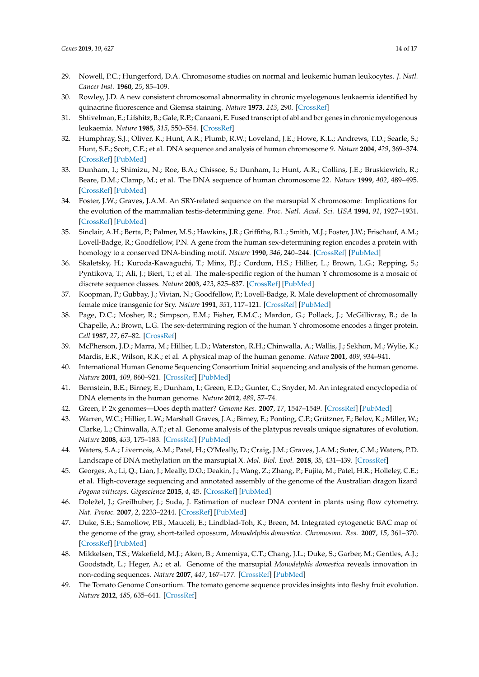- 29. Nowell, P.C.; Hungerford, D.A. Chromosome studies on normal and leukemic human leukocytes. *J. Natl. Cancer Inst.* **1960**, *25*, 85–109.
- 30. Rowley, J.D. A new consistent chromosomal abnormality in chronic myelogenous leukaemia identified by quinacrine fluorescence and Giemsa staining. *Nature* **1973**, *243*, 290. [\[CrossRef\]](http://dx.doi.org/10.1038/243290a0)
- 31. Shtivelman, E.; Lifshitz, B.; Gale, R.P.; Canaani, E. Fused transcript of abl and bcr genes in chronic myelogenous leukaemia. *Nature* **1985**, *315*, 550–554. [\[CrossRef\]](http://dx.doi.org/10.1038/315550a0)
- 32. Humphray, S.J.; Oliver, K.; Hunt, A.R.; Plumb, R.W.; Loveland, J.E.; Howe, K.L.; Andrews, T.D.; Searle, S.; Hunt, S.E.; Scott, C.E.; et al. DNA sequence and analysis of human chromosome 9. *Nature* **2004**, *429*, 369–374. [\[CrossRef\]](http://dx.doi.org/10.1038/nature02465) [\[PubMed\]](http://www.ncbi.nlm.nih.gov/pubmed/15164053)
- 33. Dunham, I.; Shimizu, N.; Roe, B.A.; Chissoe, S.; Dunham, I.; Hunt, A.R.; Collins, J.E.; Bruskiewich, R.; Beare, D.M.; Clamp, M.; et al. The DNA sequence of human chromosome 22. *Nature* **1999**, *402*, 489–495. [\[CrossRef\]](http://dx.doi.org/10.1038/990031) [\[PubMed\]](http://www.ncbi.nlm.nih.gov/pubmed/10591208)
- 34. Foster, J.W.; Graves, J.A.M. An SRY-related sequence on the marsupial X chromosome: Implications for the evolution of the mammalian testis-determining gene. *Proc. Natl. Acad. Sci. USA* **1994**, *91*, 1927–1931. [\[CrossRef\]](http://dx.doi.org/10.1073/pnas.91.5.1927) [\[PubMed\]](http://www.ncbi.nlm.nih.gov/pubmed/8127908)
- 35. Sinclair, A.H.; Berta, P.; Palmer, M.S.; Hawkins, J.R.; Griffiths, B.L.; Smith, M.J.; Foster, J.W.; Frischauf, A.M.; Lovell-Badge, R.; Goodfellow, P.N. A gene from the human sex-determining region encodes a protein with homology to a conserved DNA-binding motif. *Nature* **1990**, *346*, 240–244. [\[CrossRef\]](http://dx.doi.org/10.1038/346240a0) [\[PubMed\]](http://www.ncbi.nlm.nih.gov/pubmed/1695712)
- 36. Skaletsky, H.; Kuroda-Kawaguchi, T.; Minx, P.J.; Cordum, H.S.; Hillier, L.; Brown, L.G.; Repping, S.; Pyntikova, T.; Ali, J.; Bieri, T.; et al. The male-specific region of the human Y chromosome is a mosaic of discrete sequence classes. *Nature* **2003**, *423*, 825–837. [\[CrossRef\]](http://dx.doi.org/10.1038/nature01722) [\[PubMed\]](http://www.ncbi.nlm.nih.gov/pubmed/12815422)
- 37. Koopman, P.; Gubbay, J.; Vivian, N.; Goodfellow, P.; Lovell-Badge, R. Male development of chromosomally female mice transgenic for Sry. *Nature* **1991**, *351*, 117–121. [\[CrossRef\]](http://dx.doi.org/10.1038/351117a0) [\[PubMed\]](http://www.ncbi.nlm.nih.gov/pubmed/2030730)
- 38. Page, D.C.; Mosher, R.; Simpson, E.M.; Fisher, E.M.C.; Mardon, G.; Pollack, J.; McGillivray, B.; de la Chapelle, A.; Brown, L.G. The sex-determining region of the human Y chromosome encodes a finger protein. *Cell* **1987**, *27*, 67–82. [\[CrossRef\]](http://dx.doi.org/10.1016/0092-8674(87)90595-2)
- 39. McPherson, J.D.; Marra, M.; Hillier, L.D.; Waterston, R.H.; Chinwalla, A.; Wallis, J.; Sekhon, M.; Wylie, K.; Mardis, E.R.; Wilson, R.K.; et al. A physical map of the human genome. *Nature* **2001**, *409*, 934–941.
- 40. International Human Genome Sequencing Consortium Initial sequencing and analysis of the human genome. *Nature* **2001**, *409*, 860–921. [\[CrossRef\]](http://dx.doi.org/10.1038/35057062) [\[PubMed\]](http://www.ncbi.nlm.nih.gov/pubmed/11237011)
- 41. Bernstein, B.E.; Birney, E.; Dunham, I.; Green, E.D.; Gunter, C.; Snyder, M. An integrated encyclopedia of DNA elements in the human genome. *Nature* **2012**, *489*, 57–74.
- 42. Green, P. 2x genomes—Does depth matter? *Genome Res.* **2007**, *17*, 1547–1549. [\[CrossRef\]](http://dx.doi.org/10.1101/gr.7050807) [\[PubMed\]](http://www.ncbi.nlm.nih.gov/pubmed/17975171)
- 43. Warren, W.C.; Hillier, L.W.; Marshall Graves, J.A.; Birney, E.; Ponting, C.P.; Grützner, F.; Belov, K.; Miller, W.; Clarke, L.; Chinwalla, A.T.; et al. Genome analysis of the platypus reveals unique signatures of evolution. *Nature* **2008**, *453*, 175–183. [\[CrossRef\]](http://dx.doi.org/10.1038/nature07253) [\[PubMed\]](http://www.ncbi.nlm.nih.gov/pubmed/18464734)
- 44. Waters, S.A.; Livernois, A.M.; Patel, H.; O'Meally, D.; Craig, J.M.; Graves, J.A.M.; Suter, C.M.; Waters, P.D. Landscape of DNA methylation on the marsupial X. *Mol. Biol. Evol.* **2018**, *35*, 431–439. [\[CrossRef\]](http://dx.doi.org/10.1093/molbev/msx297)
- 45. Georges, A.; Li, Q.; Lian, J.; Meally, D.O.; Deakin, J.; Wang, Z.; Zhang, P.; Fujita, M.; Patel, H.R.; Holleley, C.E.; et al. High-coverage sequencing and annotated assembly of the genome of the Australian dragon lizard *Pogona vitticeps*. *Gigascience* **2015**, *4*, 45. [\[CrossRef\]](http://dx.doi.org/10.1186/s13742-015-0085-2) [\[PubMed\]](http://www.ncbi.nlm.nih.gov/pubmed/26421146)
- 46. Doležel, J.; Greilhuber, J.; Suda, J. Estimation of nuclear DNA content in plants using flow cytometry. *Nat. Protoc.* **2007**, *2*, 2233–2244. [\[CrossRef\]](http://dx.doi.org/10.1038/nprot.2007.310) [\[PubMed\]](http://www.ncbi.nlm.nih.gov/pubmed/17853881)
- 47. Duke, S.E.; Samollow, P.B.; Mauceli, E.; Lindblad-Toh, K.; Breen, M. Integrated cytogenetic BAC map of the genome of the gray, short-tailed opossum, *Monodelphis domestica*. *Chromosom. Res.* **2007**, *15*, 361–370. [\[CrossRef\]](http://dx.doi.org/10.1007/s10577-007-1131-4) [\[PubMed\]](http://www.ncbi.nlm.nih.gov/pubmed/17406991)
- 48. Mikkelsen, T.S.; Wakefield, M.J.; Aken, B.; Amemiya, C.T.; Chang, J.L.; Duke, S.; Garber, M.; Gentles, A.J.; Goodstadt, L.; Heger, A.; et al. Genome of the marsupial *Monodelphis domestica* reveals innovation in non-coding sequences. *Nature* **2007**, *447*, 167–177. [\[CrossRef\]](http://dx.doi.org/10.1038/nature05805) [\[PubMed\]](http://www.ncbi.nlm.nih.gov/pubmed/17495919)
- 49. The Tomato Genome Consortium. The tomato genome sequence provides insights into fleshy fruit evolution. *Nature* **2012**, *485*, 635–641. [\[CrossRef\]](http://dx.doi.org/10.1038/nature11119)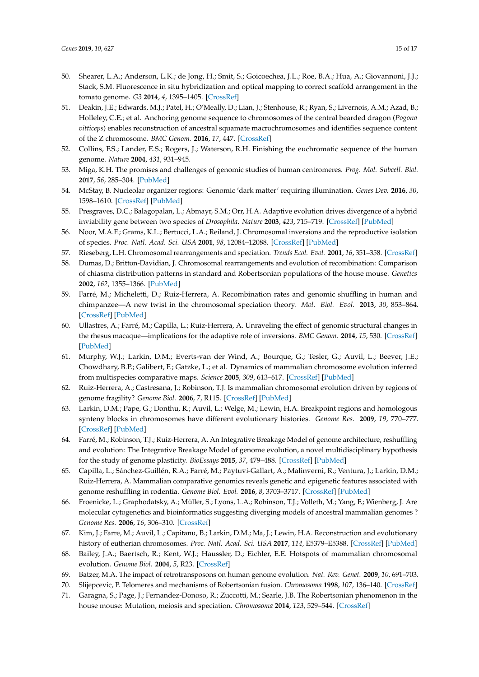- 50. Shearer, L.A.; Anderson, L.K.; de Jong, H.; Smit, S.; Goicoechea, J.L.; Roe, B.A.; Hua, A.; Giovannoni, J.J.; Stack, S.M. Fluorescence in situ hybridization and optical mapping to correct scaffold arrangement in the tomato genome. *G3* **2014**, *4*, 1395–1405. [\[CrossRef\]](http://dx.doi.org/10.1534/g3.114.011197)
- 51. Deakin, J.E.; Edwards, M.J.; Patel, H.; O'Meally, D.; Lian, J.; Stenhouse, R.; Ryan, S.; Livernois, A.M.; Azad, B.; Holleley, C.E.; et al. Anchoring genome sequence to chromosomes of the central bearded dragon (*Pogona vitticeps*) enables reconstruction of ancestral squamate macrochromosomes and identifies sequence content of the Z chromosome. *BMC Genom.* **2016**, *17*, 447. [\[CrossRef\]](http://dx.doi.org/10.1186/s12864-016-2774-3)
- 52. Collins, F.S.; Lander, E.S.; Rogers, J.; Waterson, R.H. Finishing the euchromatic sequence of the human genome. *Nature* **2004**, *431*, 931–945.
- 53. Miga, K.H. The promises and challenges of genomic studies of human centromeres. *Prog. Mol. Subcell. Biol.* **2017**, *56*, 285–304. [\[PubMed\]](http://www.ncbi.nlm.nih.gov/pubmed/28840242)
- 54. McStay, B. Nucleolar organizer regions: Genomic 'dark matter' requiring illumination. *Genes Dev.* **2016**, *30*, 1598–1610. [\[CrossRef\]](http://dx.doi.org/10.1101/gad.283838.116) [\[PubMed\]](http://www.ncbi.nlm.nih.gov/pubmed/27474438)
- 55. Presgraves, D.C.; Balagopalan, L.; Abmayr, S.M.; Orr, H.A. Adaptive evolution drives divergence of a hybrid inviability gene between two species of *Drosophila*. *Nature* **2003**, *423*, 715–719. [\[CrossRef\]](http://dx.doi.org/10.1038/nature01679) [\[PubMed\]](http://www.ncbi.nlm.nih.gov/pubmed/12802326)
- 56. Noor, M.A.F.; Grams, K.L.; Bertucci, L.A.; Reiland, J. Chromosomal inversions and the reproductive isolation of species. *Proc. Natl. Acad. Sci. USA* **2001**, *98*, 12084–12088. [\[CrossRef\]](http://dx.doi.org/10.1073/pnas.221274498) [\[PubMed\]](http://www.ncbi.nlm.nih.gov/pubmed/11593019)
- 57. Rieseberg, L.H. Chromosomal rearrangements and speciation. *Trends Ecol. Evol.* **2001**, *16*, 351–358. [\[CrossRef\]](http://dx.doi.org/10.1016/S0169-5347(01)02187-5)
- 58. Dumas, D.; Britton-Davidian, J. Chromosomal rearrangements and evolution of recombination: Comparison of chiasma distribution patterns in standard and Robertsonian populations of the house mouse. *Genetics* **2002**, *162*, 1355–1366. [\[PubMed\]](http://www.ncbi.nlm.nih.gov/pubmed/12454079)
- 59. Farré, M.; Micheletti, D.; Ruiz-Herrera, A. Recombination rates and genomic shuffling in human and chimpanzee—A new twist in the chromosomal speciation theory. *Mol. Biol. Evol.* **2013**, *30*, 853–864. [\[CrossRef\]](http://dx.doi.org/10.1093/molbev/mss272) [\[PubMed\]](http://www.ncbi.nlm.nih.gov/pubmed/23204393)
- 60. Ullastres, A.; Farré, M.; Capilla, L.; Ruiz-Herrera, A. Unraveling the effect of genomic structural changes in the rhesus macaque—implications for the adaptive role of inversions. *BMC Genom.* **2014**, *15*, 530. [\[CrossRef\]](http://dx.doi.org/10.1186/1471-2164-15-530) [\[PubMed\]](http://www.ncbi.nlm.nih.gov/pubmed/24969235)
- 61. Murphy, W.J.; Larkin, D.M.; Everts-van der Wind, A.; Bourque, G.; Tesler, G.; Auvil, L.; Beever, J.E.; Chowdhary, B.P.; Galibert, F.; Gatzke, L.; et al. Dynamics of mammalian chromosome evolution inferred from multispecies comparative maps. *Science* **2005**, *309*, 613–617. [\[CrossRef\]](http://dx.doi.org/10.1126/science.1111387) [\[PubMed\]](http://www.ncbi.nlm.nih.gov/pubmed/16040707)
- 62. Ruiz-Herrera, A.; Castresana, J.; Robinson, T.J. Is mammalian chromosomal evolution driven by regions of genome fragility? *Genome Biol.* **2006**, *7*, R115. [\[CrossRef\]](http://dx.doi.org/10.1186/gb-2006-7-12-r115) [\[PubMed\]](http://www.ncbi.nlm.nih.gov/pubmed/17156441)
- 63. Larkin, D.M.; Pape, G.; Donthu, R.; Auvil, L.; Welge, M.; Lewin, H.A. Breakpoint regions and homologous synteny blocks in chromosomes have different evolutionary histories. *Genome Res.* **2009**, *19*, 770–777. [\[CrossRef\]](http://dx.doi.org/10.1101/gr.086546.108) [\[PubMed\]](http://www.ncbi.nlm.nih.gov/pubmed/19342477)
- 64. Farré, M.; Robinson, T.J.; Ruiz-Herrera, A. An Integrative Breakage Model of genome architecture, reshuffling and evolution: The Integrative Breakage Model of genome evolution, a novel multidisciplinary hypothesis for the study of genome plasticity. *BioEssays* **2015**, *37*, 479–488. [\[CrossRef\]](http://dx.doi.org/10.1002/bies.201400174) [\[PubMed\]](http://www.ncbi.nlm.nih.gov/pubmed/25739389)
- 65. Capilla, L.; Sánchez-Guillén, R.A.; Farré, M.; Paytuví-Gallart, A.; Malinverni, R.; Ventura, J.; Larkin, D.M.; Ruiz-Herrera, A. Mammalian comparative genomics reveals genetic and epigenetic features associated with genome reshuffling in rodentia. *Genome Biol. Evol.* **2016**, *8*, 3703–3717. [\[CrossRef\]](http://dx.doi.org/10.1093/gbe/evw276) [\[PubMed\]](http://www.ncbi.nlm.nih.gov/pubmed/28175287)
- 66. Froenicke, L.; Graphodatsky, A.; Müller, S.; Lyons, L.A.; Robinson, T.J.; Volleth, M.; Yang, F.; Wienberg, J. Are molecular cytogenetics and bioinformatics suggesting diverging models of ancestral mammalian genomes ? *Genome Res.* **2006**, *16*, 306–310. [\[CrossRef\]](http://dx.doi.org/10.1101/gr.3955206)
- 67. Kim, J.; Farre, M.; Auvil, L.; Capitanu, B.; Larkin, D.M.; Ma, J.; Lewin, H.A. Reconstruction and evolutionary history of eutherian chromosomes. *Proc. Natl. Acad. Sci. USA* **2017**, *114*, E5379–E5388. [\[CrossRef\]](http://dx.doi.org/10.1073/pnas.1702012114) [\[PubMed\]](http://www.ncbi.nlm.nih.gov/pubmed/28630326)
- 68. Bailey, J.A.; Baertsch, R.; Kent, W.J.; Haussler, D.; Eichler, E.E. Hotspots of mammalian chromosomal evolution. *Genome Biol.* **2004**, *5*, R23. [\[CrossRef\]](http://dx.doi.org/10.1186/gb-2004-5-4-r23)
- 69. Batzer, M.A. The impact of retrotransposons on human genome evolution. *Nat. Rev. Genet.* **2009**, *10*, 691–703.
- 70. Slijepcevic, P. Telomeres and mechanisms of Robertsonian fusion. *Chromosoma* **1998**, *107*, 136–140. [\[CrossRef\]](http://dx.doi.org/10.1007/s004120050289)
- 71. Garagna, S.; Page, J.; Fernandez-Donoso, R.; Zuccotti, M.; Searle, J.B. The Robertsonian phenomenon in the house mouse: Mutation, meiosis and speciation. *Chromosoma* **2014**, *123*, 529–544. [\[CrossRef\]](http://dx.doi.org/10.1007/s00412-014-0477-6)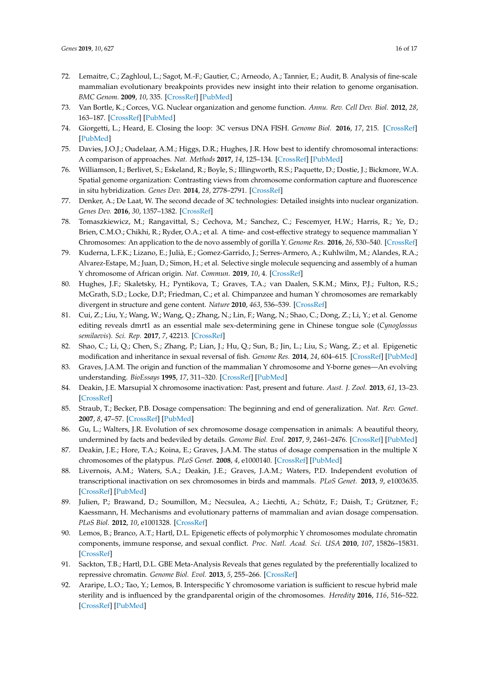- 72. Lemaitre, C.; Zaghloul, L.; Sagot, M.-F.; Gautier, C.; Arneodo, A.; Tannier, E.; Audit, B. Analysis of fine-scale mammalian evolutionary breakpoints provides new insight into their relation to genome organisation. *BMC Genom.* **2009**, *10*, 335. [\[CrossRef\]](http://dx.doi.org/10.1186/1471-2164-10-335) [\[PubMed\]](http://www.ncbi.nlm.nih.gov/pubmed/19630943)
- 73. Van Bortle, K.; Corces, V.G. Nuclear organization and genome function. *Annu. Rev. Cell Dev. Biol.* **2012**, *28*, 163–187. [\[CrossRef\]](http://dx.doi.org/10.1146/annurev-cellbio-101011-155824) [\[PubMed\]](http://www.ncbi.nlm.nih.gov/pubmed/22905954)
- 74. Giorgetti, L.; Heard, E. Closing the loop: 3C versus DNA FISH. *Genome Biol.* **2016**, *17*, 215. [\[CrossRef\]](http://dx.doi.org/10.1186/s13059-016-1081-2) [\[PubMed\]](http://www.ncbi.nlm.nih.gov/pubmed/27760553)
- 75. Davies, J.O.J.; Oudelaar, A.M.; Higgs, D.R.; Hughes, J.R. How best to identify chromosomal interactions: A comparison of approaches. *Nat. Methods* **2017**, *14*, 125–134. [\[CrossRef\]](http://dx.doi.org/10.1038/nmeth.4146) [\[PubMed\]](http://www.ncbi.nlm.nih.gov/pubmed/28139673)
- 76. Williamson, I.; Berlivet, S.; Eskeland, R.; Boyle, S.; Illingworth, R.S.; Paquette, D.; Dostie, J.; Bickmore, W.A. Spatial genome organization: Contrasting views from chromosome conformation capture and fluorescence in situ hybridization. *Genes Dev.* **2014**, *28*, 2778–2791. [\[CrossRef\]](http://dx.doi.org/10.1101/gad.251694.114)
- 77. Denker, A.; De Laat, W. The second decade of 3C technologies: Detailed insights into nuclear organization. *Genes Dev.* **2016**, *30*, 1357–1382. [\[CrossRef\]](http://dx.doi.org/10.1101/gad.281964.116)
- 78. Tomaszkiewicz, M.; Rangavittal, S.; Cechova, M.; Sanchez, C.; Fescemyer, H.W.; Harris, R.; Ye, D.; Brien, C.M.O.; Chikhi, R.; Ryder, O.A.; et al. A time- and cost-effective strategy to sequence mammalian Y Chromosomes: An application to the de novo assembly of gorilla Y. *Genome Res.* **2016**, *26*, 530–540. [\[CrossRef\]](http://dx.doi.org/10.1101/gr.199448.115)
- 79. Kuderna, L.F.K.; Lizano, E.; Julià, E.; Gomez-Garrido, J.; Serres-Armero, A.; Kuhlwilm, M.; Alandes, R.A.; Alvarez-Estape, M.; Juan, D.; Simon, H.; et al. Selective single molecule sequencing and assembly of a human Y chromosome of African origin. *Nat. Commun.* **2019**, *10*, 4. [\[CrossRef\]](http://dx.doi.org/10.1038/s41467-018-07885-5)
- 80. Hughes, J.F.; Skaletsky, H.; Pyntikova, T.; Graves, T.A.; van Daalen, S.K.M.; Minx, P.J.; Fulton, R.S.; McGrath, S.D.; Locke, D.P.; Friedman, C.; et al. Chimpanzee and human Y chromosomes are remarkably divergent in structure and gene content. *Nature* **2010**, *463*, 536–539. [\[CrossRef\]](http://dx.doi.org/10.1038/nature08700)
- 81. Cui, Z.; Liu, Y.; Wang, W.; Wang, Q.; Zhang, N.; Lin, F.; Wang, N.; Shao, C.; Dong, Z.; Li, Y.; et al. Genome editing reveals dmrt1 as an essential male sex-determining gene in Chinese tongue sole (*Cynoglossus semilaevis*). *Sci. Rep.* **2017**, *7*, 42213. [\[CrossRef\]](http://dx.doi.org/10.1038/srep42213)
- 82. Shao, C.; Li, Q.; Chen, S.; Zhang, P.; Lian, J.; Hu, Q.; Sun, B.; Jin, L.; Liu, S.; Wang, Z.; et al. Epigenetic modification and inheritance in sexual reversal of fish. *Genome Res.* **2014**, *24*, 604–615. [\[CrossRef\]](http://dx.doi.org/10.1101/gr.162172.113) [\[PubMed\]](http://www.ncbi.nlm.nih.gov/pubmed/24487721)
- 83. Graves, J.A.M. The origin and function of the mammalian Y chromosome and Y-borne genes—An evolving understanding. *BioEssays* **1995**, *17*, 311–320. [\[CrossRef\]](http://dx.doi.org/10.1002/bies.950170407) [\[PubMed\]](http://www.ncbi.nlm.nih.gov/pubmed/7741724)
- 84. Deakin, J.E. Marsupial X chromosome inactivation: Past, present and future. *Aust. J. Zool.* **2013**, *61*, 13–23. [\[CrossRef\]](http://dx.doi.org/10.1071/ZO12113)
- 85. Straub, T.; Becker, P.B. Dosage compensation: The beginning and end of generalization. *Nat. Rev. Genet.* **2007**, *8*, 47–57. [\[CrossRef\]](http://dx.doi.org/10.1038/nrg2013) [\[PubMed\]](http://www.ncbi.nlm.nih.gov/pubmed/17173057)
- 86. Gu, L.; Walters, J.R. Evolution of sex chromosome dosage compensation in animals: A beautiful theory, undermined by facts and bedeviled by details. *Genome Biol. Evol.* **2017**, *9*, 2461–2476. [\[CrossRef\]](http://dx.doi.org/10.1093/gbe/evx154) [\[PubMed\]](http://www.ncbi.nlm.nih.gov/pubmed/28961969)
- 87. Deakin, J.E.; Hore, T.A.; Koina, E.; Graves, J.A.M. The status of dosage compensation in the multiple X chromosomes of the platypus. *PLoS Genet.* **2008**, *4*, e1000140. [\[CrossRef\]](http://dx.doi.org/10.1371/journal.pgen.1000140) [\[PubMed\]](http://www.ncbi.nlm.nih.gov/pubmed/18654631)
- 88. Livernois, A.M.; Waters, S.A.; Deakin, J.E.; Graves, J.A.M.; Waters, P.D. Independent evolution of transcriptional inactivation on sex chromosomes in birds and mammals. *PLoS Genet.* **2013**, *9*, e1003635. [\[CrossRef\]](http://dx.doi.org/10.1371/journal.pgen.1003635) [\[PubMed\]](http://www.ncbi.nlm.nih.gov/pubmed/23874231)
- 89. Julien, P.; Brawand, D.; Soumillon, M.; Necsulea, A.; Liechti, A.; Schütz, F.; Daish, T.; Grützner, F.; Kaessmann, H. Mechanisms and evolutionary patterns of mammalian and avian dosage compensation. *PLoS Biol.* **2012**, *10*, e1001328. [\[CrossRef\]](http://dx.doi.org/10.1371/journal.pbio.1001328)
- 90. Lemos, B.; Branco, A.T.; Hartl, D.L. Epigenetic effects of polymorphic Y chromosomes modulate chromatin components, immune response, and sexual conflict. *Proc. Natl. Acad. Sci. USA* **2010**, *107*, 15826–15831. [\[CrossRef\]](http://dx.doi.org/10.1073/pnas.1010383107)
- 91. Sackton, T.B.; Hartl, D.L. GBE Meta-Analysis Reveals that genes regulated by the preferentially localized to repressive chromatin. *Genome Biol. Evol.* **2013**, *5*, 255–266. [\[CrossRef\]](http://dx.doi.org/10.1093/gbe/evt005)
- 92. Araripe, L.O.; Tao, Y.; Lemos, B. Interspecific Y chromosome variation is sufficient to rescue hybrid male sterility and is influenced by the grandparental origin of the chromosomes. *Heredity* **2016**, *116*, 516–522. [\[CrossRef\]](http://dx.doi.org/10.1038/hdy.2016.11) [\[PubMed\]](http://www.ncbi.nlm.nih.gov/pubmed/26980343)